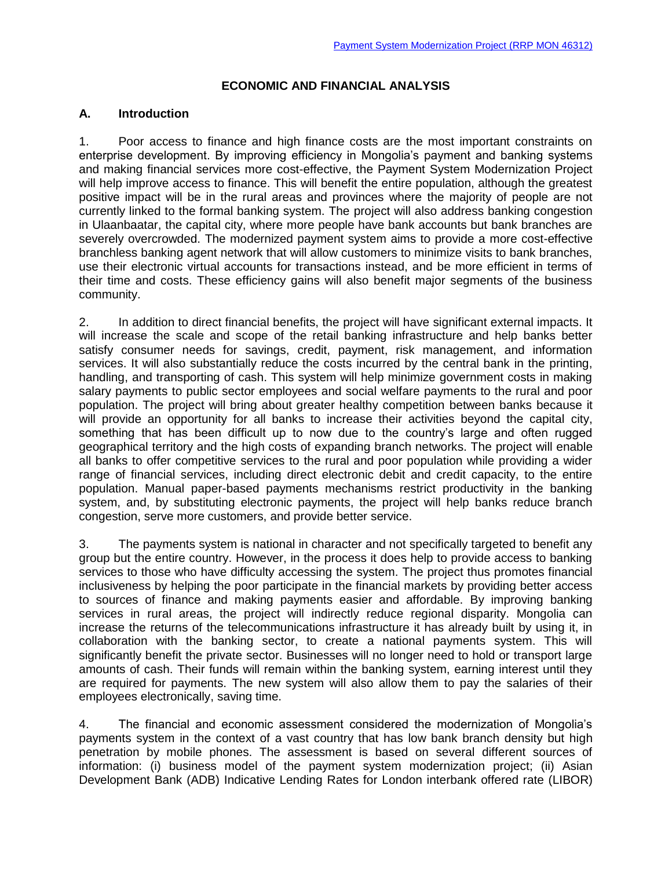### **ECONOMIC AND FINANCIAL ANALYSIS**

#### **A. Introduction**

1. Poor access to finance and high finance costs are the most important constraints on enterprise development. By improving efficiency in Mongolia's payment and banking systems and making financial services more cost-effective, the Payment System Modernization Project will help improve access to finance. This will benefit the entire population, although the greatest positive impact will be in the rural areas and provinces where the majority of people are not currently linked to the formal banking system. The project will also address banking congestion in Ulaanbaatar, the capital city, where more people have bank accounts but bank branches are severely overcrowded. The modernized payment system aims to provide a more cost-effective branchless banking agent network that will allow customers to minimize visits to bank branches, use their electronic virtual accounts for transactions instead, and be more efficient in terms of their time and costs. These efficiency gains will also benefit major segments of the business community.

2. In addition to direct financial benefits, the project will have significant external impacts. It will increase the scale and scope of the retail banking infrastructure and help banks better satisfy consumer needs for savings, credit, payment, risk management, and information services. It will also substantially reduce the costs incurred by the central bank in the printing, handling, and transporting of cash. This system will help minimize government costs in making salary payments to public sector employees and social welfare payments to the rural and poor population. The project will bring about greater healthy competition between banks because it will provide an opportunity for all banks to increase their activities beyond the capital city, something that has been difficult up to now due to the country's large and often rugged geographical territory and the high costs of expanding branch networks. The project will enable all banks to offer competitive services to the rural and poor population while providing a wider range of financial services, including direct electronic debit and credit capacity, to the entire population. Manual paper-based payments mechanisms restrict productivity in the banking system, and, by substituting electronic payments, the project will help banks reduce branch congestion, serve more customers, and provide better service.

3. The payments system is national in character and not specifically targeted to benefit any group but the entire country. However, in the process it does help to provide access to banking services to those who have difficulty accessing the system. The project thus promotes financial inclusiveness by helping the poor participate in the financial markets by providing better access to sources of finance and making payments easier and affordable. By improving banking services in rural areas, the project will indirectly reduce regional disparity. Mongolia can increase the returns of the telecommunications infrastructure it has already built by using it, in collaboration with the banking sector, to create a national payments system. This will significantly benefit the private sector. Businesses will no longer need to hold or transport large amounts of cash. Their funds will remain within the banking system, earning interest until they are required for payments. The new system will also allow them to pay the salaries of their employees electronically, saving time.

4. The financial and economic assessment considered the modernization of Mongolia's payments system in the context of a vast country that has low bank branch density but high penetration by mobile phones. The assessment is based on several different sources of information: (i) business model of the payment system modernization project; (ii) Asian Development Bank (ADB) Indicative Lending Rates for London interbank offered rate (LIBOR)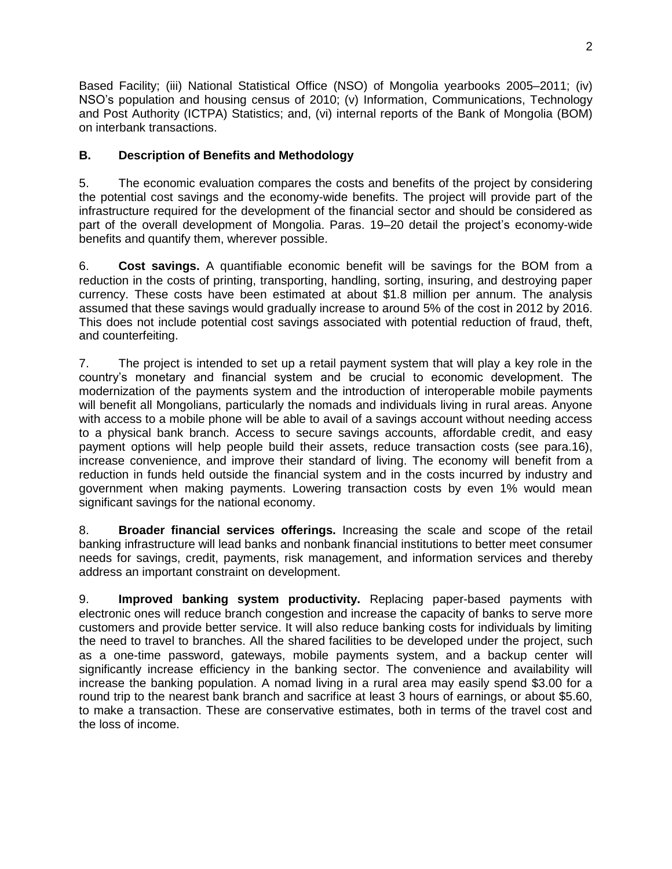Based Facility; (iii) National Statistical Office (NSO) of Mongolia yearbooks 2005–2011; (iv) NSO's population and housing census of 2010; (v) Information, Communications, Technology and Post Authority (ICTPA) Statistics; and, (vi) internal reports of the Bank of Mongolia (BOM) on interbank transactions.

# **B. Description of Benefits and Methodology**

5. The economic evaluation compares the costs and benefits of the project by considering the potential cost savings and the economy-wide benefits. The project will provide part of the infrastructure required for the development of the financial sector and should be considered as part of the overall development of Mongolia. Paras. 19–20 detail the project's economy-wide benefits and quantify them, wherever possible.

6. **Cost savings.** A quantifiable economic benefit will be savings for the BOM from a reduction in the costs of printing, transporting, handling, sorting, insuring, and destroying paper currency. These costs have been estimated at about \$1.8 million per annum. The analysis assumed that these savings would gradually increase to around 5% of the cost in 2012 by 2016. This does not include potential cost savings associated with potential reduction of fraud, theft, and counterfeiting.

7. The project is intended to set up a retail payment system that will play a key role in the country's monetary and financial system and be crucial to economic development. The modernization of the payments system and the introduction of interoperable mobile payments will benefit all Mongolians, particularly the nomads and individuals living in rural areas. Anyone with access to a mobile phone will be able to avail of a savings account without needing access to a physical bank branch. Access to secure savings accounts, affordable credit, and easy payment options will help people build their assets, reduce transaction costs (see para.16), increase convenience, and improve their standard of living. The economy will benefit from a reduction in funds held outside the financial system and in the costs incurred by industry and government when making payments. Lowering transaction costs by even 1% would mean significant savings for the national economy.

8. **Broader financial services offerings.** Increasing the scale and scope of the retail banking infrastructure will lead banks and nonbank financial institutions to better meet consumer needs for savings, credit, payments, risk management, and information services and thereby address an important constraint on development.

9. **Improved banking system productivity.** Replacing paper-based payments with electronic ones will reduce branch congestion and increase the capacity of banks to serve more customers and provide better service. It will also reduce banking costs for individuals by limiting the need to travel to branches. All the shared facilities to be developed under the project, such as a one-time password, gateways, mobile payments system, and a backup center will significantly increase efficiency in the banking sector. The convenience and availability will increase the banking population. A nomad living in a rural area may easily spend \$3.00 for a round trip to the nearest bank branch and sacrifice at least 3 hours of earnings, or about \$5.60, to make a transaction. These are conservative estimates, both in terms of the travel cost and the loss of income.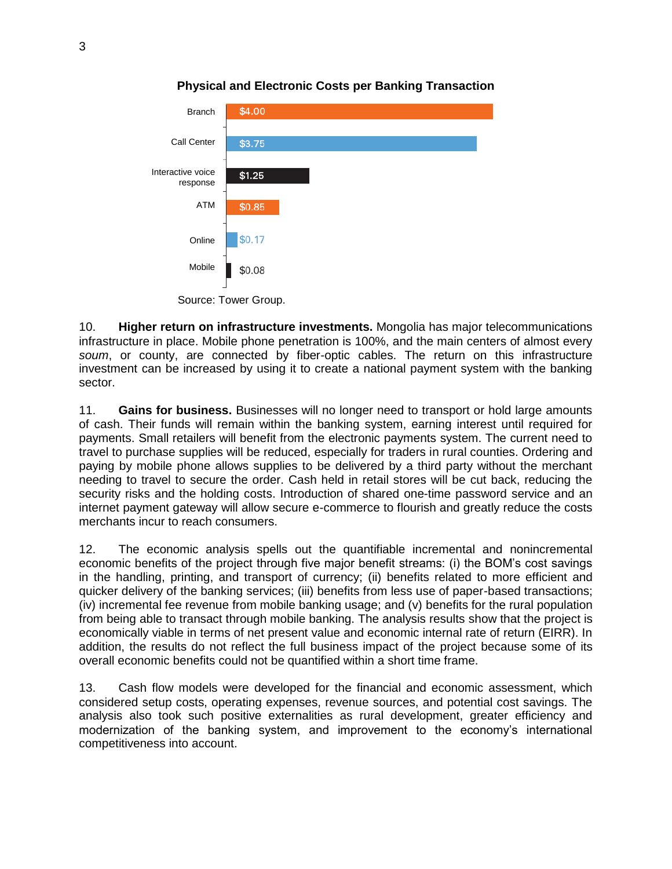

# **Physical and Electronic Costs per Banking Transaction**

Source: Tower Group.

10. **Higher return on infrastructure investments.** Mongolia has major telecommunications infrastructure in place. Mobile phone penetration is 100%, and the main centers of almost every *soum*, or county, are connected by fiber-optic cables. The return on this infrastructure investment can be increased by using it to create a national payment system with the banking sector.

11. **Gains for business.** Businesses will no longer need to transport or hold large amounts of cash. Their funds will remain within the banking system, earning interest until required for payments. Small retailers will benefit from the electronic payments system. The current need to travel to purchase supplies will be reduced, especially for traders in rural counties. Ordering and paying by mobile phone allows supplies to be delivered by a third party without the merchant needing to travel to secure the order. Cash held in retail stores will be cut back, reducing the security risks and the holding costs. Introduction of shared one-time password service and an internet payment gateway will allow secure e-commerce to flourish and greatly reduce the costs merchants incur to reach consumers.

12. The economic analysis spells out the quantifiable incremental and nonincremental economic benefits of the project through five major benefit streams: (i) the BOM's cost savings in the handling, printing, and transport of currency; (ii) benefits related to more efficient and quicker delivery of the banking services; (iii) benefits from less use of paper-based transactions; (iv) incremental fee revenue from mobile banking usage; and (v) benefits for the rural population from being able to transact through mobile banking. The analysis results show that the project is economically viable in terms of net present value and economic internal rate of return (EIRR). In addition, the results do not reflect the full business impact of the project because some of its overall economic benefits could not be quantified within a short time frame.

13. Cash flow models were developed for the financial and economic assessment, which considered setup costs, operating expenses, revenue sources, and potential cost savings. The analysis also took such positive externalities as rural development, greater efficiency and modernization of the banking system, and improvement to the economy's international competitiveness into account.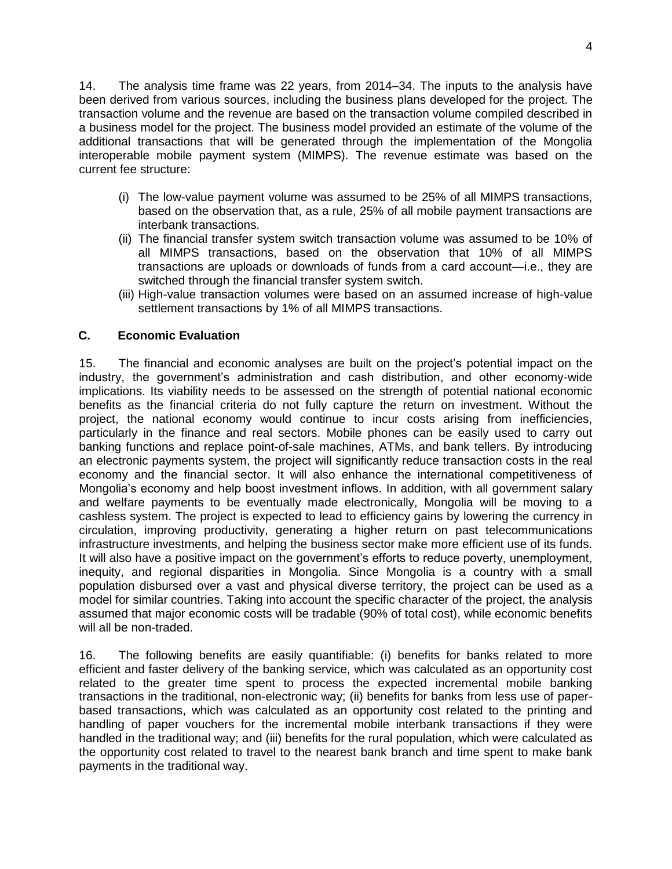14. The analysis time frame was 22 years, from 2014–34. The inputs to the analysis have been derived from various sources, including the business plans developed for the project. The transaction volume and the revenue are based on the transaction volume compiled described in a business model for the project. The business model provided an estimate of the volume of the additional transactions that will be generated through the implementation of the Mongolia interoperable mobile payment system (MIMPS). The revenue estimate was based on the current fee structure:

- (i) The low-value payment volume was assumed to be 25% of all MIMPS transactions, based on the observation that, as a rule, 25% of all mobile payment transactions are interbank transactions.
- (ii) The financial transfer system switch transaction volume was assumed to be 10% of all MIMPS transactions, based on the observation that 10% of all MIMPS transactions are uploads or downloads of funds from a card account—i.e., they are switched through the financial transfer system switch.
- (iii) High-value transaction volumes were based on an assumed increase of high-value settlement transactions by 1% of all MIMPS transactions.

# **C. Economic Evaluation**

15. The financial and economic analyses are built on the project's potential impact on the industry, the government's administration and cash distribution, and other economy-wide implications. Its viability needs to be assessed on the strength of potential national economic benefits as the financial criteria do not fully capture the return on investment. Without the project, the national economy would continue to incur costs arising from inefficiencies, particularly in the finance and real sectors. Mobile phones can be easily used to carry out banking functions and replace point-of-sale machines, ATMs, and bank tellers. By introducing an electronic payments system, the project will significantly reduce transaction costs in the real economy and the financial sector. It will also enhance the international competitiveness of Mongolia's economy and help boost investment inflows. In addition, with all government salary and welfare payments to be eventually made electronically, Mongolia will be moving to a cashless system. The project is expected to lead to efficiency gains by lowering the currency in circulation, improving productivity, generating a higher return on past telecommunications infrastructure investments, and helping the business sector make more efficient use of its funds. It will also have a positive impact on the government's efforts to reduce poverty, unemployment, inequity, and regional disparities in Mongolia. Since Mongolia is a country with a small population disbursed over a vast and physical diverse territory, the project can be used as a model for similar countries. Taking into account the specific character of the project, the analysis assumed that major economic costs will be tradable (90% of total cost), while economic benefits will all be non-traded.

16. The following benefits are easily quantifiable: (i) benefits for banks related to more efficient and faster delivery of the banking service, which was calculated as an opportunity cost related to the greater time spent to process the expected incremental mobile banking transactions in the traditional, non-electronic way; (ii) benefits for banks from less use of paperbased transactions, which was calculated as an opportunity cost related to the printing and handling of paper vouchers for the incremental mobile interbank transactions if they were handled in the traditional way; and (iii) benefits for the rural population, which were calculated as the opportunity cost related to travel to the nearest bank branch and time spent to make bank payments in the traditional way.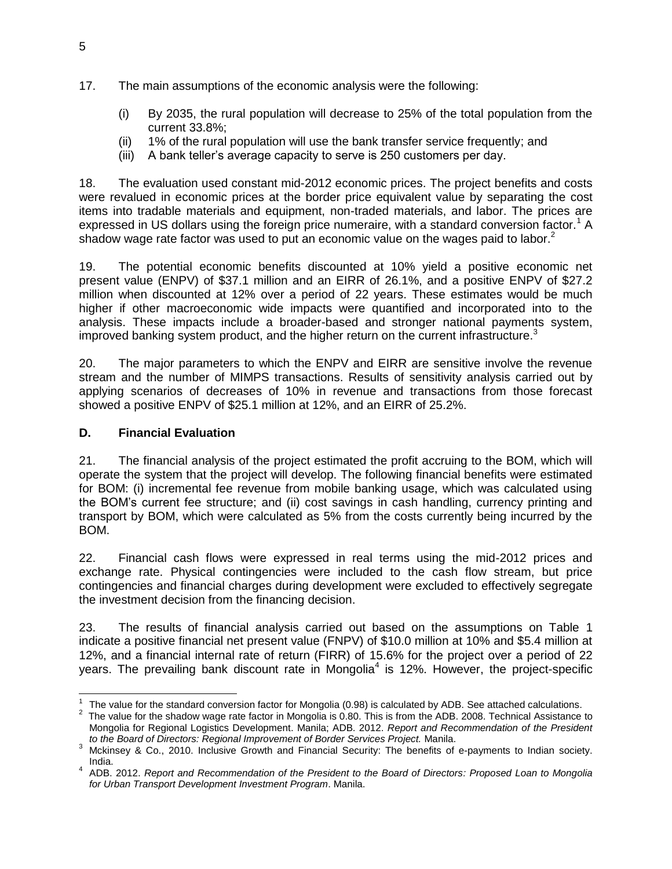- 17. The main assumptions of the economic analysis were the following:
	- (i) By 2035, the rural population will decrease to 25% of the total population from the current 33.8%;
	- (ii) 1% of the rural population will use the bank transfer service frequently; and
	- (iii) A bank teller's average capacity to serve is 250 customers per day.

18. The evaluation used constant mid-2012 economic prices. The project benefits and costs were revalued in economic prices at the border price equivalent value by separating the cost items into tradable materials and equipment, non-traded materials, and labor. The prices are expressed in US dollars using the foreign price numeraire, with a standard conversion factor.<sup>1</sup> A shadow wage rate factor was used to put an economic value on the wages paid to labor. $2^{\circ}$ 

19. The potential economic benefits discounted at 10% yield a positive economic net present value (ENPV) of \$37.1 million and an EIRR of 26.1%, and a positive ENPV of \$27.2 million when discounted at 12% over a period of 22 years. These estimates would be much higher if other macroeconomic wide impacts were quantified and incorporated into to the analysis. These impacts include a broader-based and stronger national payments system, improved banking system product, and the higher return on the current infrastructure.<sup>3</sup>

20. The major parameters to which the ENPV and EIRR are sensitive involve the revenue stream and the number of MIMPS transactions. Results of sensitivity analysis carried out by applying scenarios of decreases of 10% in revenue and transactions from those forecast showed a positive ENPV of \$25.1 million at 12%, and an EIRR of 25.2%.

## **D. Financial Evaluation**

21. The financial analysis of the project estimated the profit accruing to the BOM, which will operate the system that the project will develop. The following financial benefits were estimated for BOM: (i) incremental fee revenue from mobile banking usage, which was calculated using the BOM's current fee structure; and (ii) cost savings in cash handling, currency printing and transport by BOM, which were calculated as 5% from the costs currently being incurred by the BOM.

22. Financial cash flows were expressed in real terms using the mid-2012 prices and exchange rate. Physical contingencies were included to the cash flow stream, but price contingencies and financial charges during development were excluded to effectively segregate the investment decision from the financing decision.

23. The results of financial analysis carried out based on the assumptions on Table 1 indicate a positive financial net present value (FNPV) of \$10.0 million at 10% and \$5.4 million at 12%, and a financial internal rate of return (FIRR) of 15.6% for the project over a period of 22 years. The prevailing bank discount rate in Mongolia<sup>4</sup> is 12%. However, the project-specific

  $1$  The value for the standard conversion factor for Mongolia (0.98) is calculated by ADB. See attached calculations.

 $2$  The value for the shadow wage rate factor in Mongolia is 0.80. This is from the ADB. 2008. Technical Assistance to Mongolia for Regional Logistics Development. Manila; ADB. 2012. *Report and Recommendation of the President to the Board of Directors: Regional Improvement of Border Services Project.* Manila.

<sup>3</sup> Mckinsey & Co., 2010. Inclusive Growth and Financial Security: The benefits of e-payments to Indian society. India.

<sup>4</sup> ADB. 2012. *Report and Recommendation of the President to the Board of Directors: Proposed Loan to Mongolia for Urban Transport Development Investment Program*. Manila.